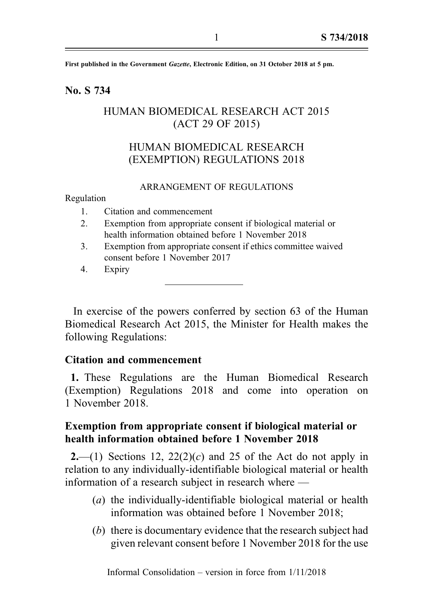First published in the Government Gazette, Electronic Edition, on 31 October 2018 at 5 pm.

### No. S 734

# HUMAN BIOMEDICAL RESEARCH ACT 2015 (ACT 29 OF 2015)

# HUMAN BIOMEDICAL RESEARCH (EXEMPTION) REGULATIONS 2018

#### ARRANGEMENT OF REGULATIONS

Regulation

- 1. Citation and commencement
- 2. Exemption from appropriate consent if biological material or health information obtained before 1 November 2018
- 3. Exemption from appropriate consent if ethics committee waived consent before 1 November 2017
- 4. Expiry

In exercise of the powers conferred by section 63 of the Human Biomedical Research Act 2015, the Minister for Health makes the following Regulations:

### Citation and commencement

1. These Regulations are the Human Biomedical Research (Exemption) Regulations 2018 and come into operation on 1 November 2018.

## Exemption from appropriate consent if biological material or health information obtained before 1 November 2018

2.—(1) Sections 12,  $22(2)(c)$  and 25 of the Act do not apply in relation to any individually-identifiable biological material or health information of a research subject in research where —

- (a) the individually-identifiable biological material or health information was obtained before 1 November 2018;
- (b) there is documentary evidence that the research subject had given relevant consent before 1 November 2018 for the use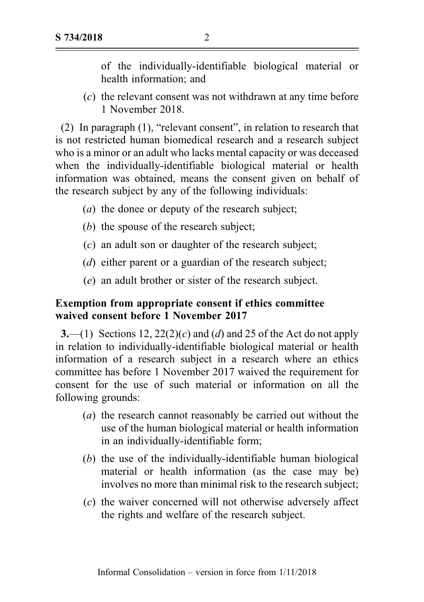of the individually-identifiable biological material or health information; and

(c) the relevant consent was not withdrawn at any time before 1 November 2018.

(2) In paragraph (1), "relevant consent", in relation to research that is not restricted human biomedical research and a research subject who is a minor or an adult who lacks mental capacity or was deceased when the individually-identifiable biological material or health information was obtained, means the consent given on behalf of the research subject by any of the following individuals:

- (a) the donee or deputy of the research subject;
- (b) the spouse of the research subject;
- (c) an adult son or daughter of the research subject;
- (d) either parent or a guardian of the research subject;
- (e) an adult brother or sister of the research subject.

## Exemption from appropriate consent if ethics committee waived consent before 1 November 2017

**3.**—(1) Sections 12,  $22(2)(c)$  and (d) and 25 of the Act do not apply in relation to individually-identifiable biological material or health information of a research subject in a research where an ethics committee has before 1 November 2017 waived the requirement for consent for the use of such material or information on all the following grounds:

- (a) the research cannot reasonably be carried out without the use of the human biological material or health information in an individually-identifiable form;
- (b) the use of the individually-identifiable human biological material or health information (as the case may be) involves no more than minimal risk to the research subject;
- (c) the waiver concerned will not otherwise adversely affect the rights and welfare of the research subject.